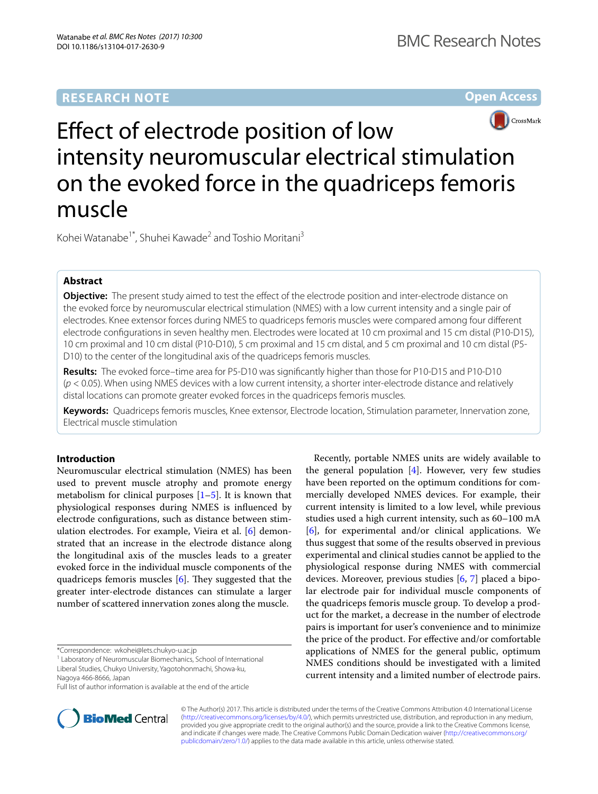# **RESEARCH NOTE**

**Open Access**



# Effect of electrode position of low intensity neuromuscular electrical stimulation on the evoked force in the quadriceps femoris muscle

Kohei Watanabe<sup>1\*</sup>, Shuhei Kawade<sup>2</sup> and Toshio Moritani<sup>3</sup>

# **Abstract**

**Objective:** The present study aimed to test the effect of the electrode position and inter-electrode distance on the evoked force by neuromuscular electrical stimulation (NMES) with a low current intensity and a single pair of electrodes. Knee extensor forces during NMES to quadriceps femoris muscles were compared among four diferent electrode confgurations in seven healthy men. Electrodes were located at 10 cm proximal and 15 cm distal (P10-D15), 10 cm proximal and 10 cm distal (P10-D10), 5 cm proximal and 15 cm distal, and 5 cm proximal and 10 cm distal (P5- D10) to the center of the longitudinal axis of the quadriceps femoris muscles.

**Results:** The evoked force–time area for P5-D10 was signifcantly higher than those for P10-D15 and P10-D10 (*p* < 0.05). When using NMES devices with a low current intensity, a shorter inter-electrode distance and relatively distal locations can promote greater evoked forces in the quadriceps femoris muscles.

**Keywords:** Quadriceps femoris muscles, Knee extensor, Electrode location, Stimulation parameter, Innervation zone, Electrical muscle stimulation

# **Introduction**

Neuromuscular electrical stimulation (NMES) has been used to prevent muscle atrophy and promote energy metabolism for clinical purposes  $[1–5]$  $[1–5]$  $[1–5]$ . It is known that physiological responses during NMES is infuenced by electrode confgurations, such as distance between stimulation electrodes. For example, Vieira et al. [\[6\]](#page-4-2) demonstrated that an increase in the electrode distance along the longitudinal axis of the muscles leads to a greater evoked force in the individual muscle components of the quadriceps femoris muscles  $[6]$ . They suggested that the greater inter-electrode distances can stimulate a larger number of scattered innervation zones along the muscle.

\*Correspondence: wkohei@lets.chukyo-u.ac.jp 1

**BioMed Central** 

Laboratory of Neuromuscular Biomechanics, School of International

Liberal Studies, Chukyo University, Yagotohonmachi, Showa-ku,

Nagoya 466-8666, Japan



© The Author(s) 2017. This article is distributed under the terms of the Creative Commons Attribution 4.0 International License [\(http://creativecommons.org/licenses/by/4.0/\)](http://creativecommons.org/licenses/by/4.0/), which permits unrestricted use, distribution, and reproduction in any medium, provided you give appropriate credit to the original author(s) and the source, provide a link to the Creative Commons license, and indicate if changes were made. The Creative Commons Public Domain Dedication waiver ([http://creativecommons.org/](http://creativecommons.org/publicdomain/zero/1.0/) [publicdomain/zero/1.0/](http://creativecommons.org/publicdomain/zero/1.0/)) applies to the data made available in this article, unless otherwise stated.

Full list of author information is available at the end of the article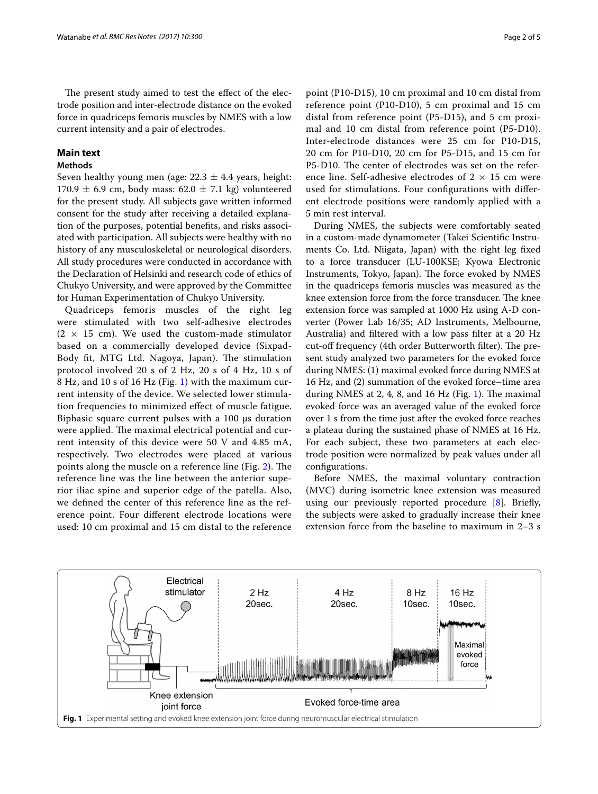The present study aimed to test the effect of the electrode position and inter-electrode distance on the evoked force in quadriceps femoris muscles by NMES with a low current intensity and a pair of electrodes.

## **Main text**

## **Methods**

Seven healthy young men (age:  $22.3 \pm 4.4$  years, height:  $170.9 \pm 6.9$  cm, body mass:  $62.0 \pm 7.1$  kg) volunteered for the present study. All subjects gave written informed consent for the study after receiving a detailed explanation of the purposes, potential benefts, and risks associated with participation. All subjects were healthy with no history of any musculoskeletal or neurological disorders. All study procedures were conducted in accordance with the Declaration of Helsinki and research code of ethics of Chukyo University, and were approved by the Committee for Human Experimentation of Chukyo University.

Quadriceps femoris muscles of the right leg were stimulated with two self-adhesive electrodes  $(2 \times 15$  cm). We used the custom-made stimulator based on a commercially developed device (Sixpad-Body fit, MTG Ltd. Nagoya, Japan). The stimulation protocol involved 20 s of 2 Hz, 20 s of 4 Hz, 10 s of 8 Hz, and 10 s of 16 Hz (Fig. [1](#page-1-0)) with the maximum current intensity of the device. We selected lower stimulation frequencies to minimized efect of muscle fatigue. Biphasic square current pulses with a 100 μs duration were applied. The maximal electrical potential and current intensity of this device were 50 V and 4.85 mA, respectively. Two electrodes were placed at various points along the muscle on a reference line (Fig. [2\)](#page-2-0). The reference line was the line between the anterior superior iliac spine and superior edge of the patella. Also, we defned the center of this reference line as the reference point. Four diferent electrode locations were used: 10 cm proximal and 15 cm distal to the reference point (P10-D15), 10 cm proximal and 10 cm distal from reference point (P10-D10), 5 cm proximal and 15 cm distal from reference point (P5-D15), and 5 cm proximal and 10 cm distal from reference point (P5-D10). Inter-electrode distances were 25 cm for P10-D15, 20 cm for P10-D10, 20 cm for P5-D15, and 15 cm for P5-D10. The center of electrodes was set on the reference line. Self-adhesive electrodes of  $2 \times 15$  cm were used for stimulations. Four confgurations with diferent electrode positions were randomly applied with a 5 min rest interval.

During NMES, the subjects were comfortably seated in a custom-made dynamometer (Takei Scientifc Instruments Co. Ltd. Niigata, Japan) with the right leg fxed to a force transducer (LU-100KSE; Kyowa Electronic Instruments, Tokyo, Japan). The force evoked by NMES in the quadriceps femoris muscles was measured as the knee extension force from the force transducer. The knee extension force was sampled at 1000 Hz using A-D converter (Power Lab 16/35; AD Instruments, Melbourne, Australia) and fltered with a low pass flter at a 20 Hz cut-off frequency (4th order Butterworth filter). The present study analyzed two parameters for the evoked force during NMES: (1) maximal evoked force during NMES at 16 Hz, and (2) summation of the evoked force–time area during NMES at 2, 4, 8, and 16 Hz (Fig. [1\)](#page-1-0). The maximal evoked force was an averaged value of the evoked force over 1 s from the time just after the evoked force reaches a plateau during the sustained phase of NMES at 16 Hz. For each subject, these two parameters at each electrode position were normalized by peak values under all confgurations.

Before NMES, the maximal voluntary contraction (MVC) during isometric knee extension was measured using our previously reported procedure [[8\]](#page-4-5). Briefy, the subjects were asked to gradually increase their knee extension force from the baseline to maximum in 2–3 s

<span id="page-1-0"></span>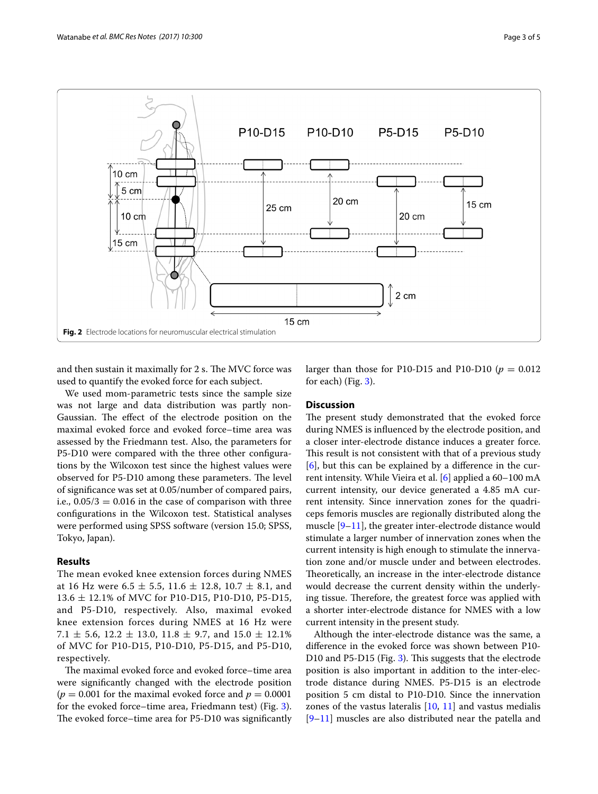



<span id="page-2-0"></span>and then sustain it maximally for 2 s. The MVC force was used to quantify the evoked force for each subject.

We used mom-parametric tests since the sample size was not large and data distribution was partly non-Gaussian. The effect of the electrode position on the maximal evoked force and evoked force–time area was assessed by the Friedmann test. Also, the parameters for P5-D10 were compared with the three other confgurations by the Wilcoxon test since the highest values were observed for P5-D10 among these parameters. The level of signifcance was set at 0.05/number of compared pairs, i.e.,  $0.05/3 = 0.016$  in the case of comparison with three confgurations in the Wilcoxon test. Statistical analyses were performed using SPSS software (version 15.0; SPSS, Tokyo, Japan).

# **Results**

The mean evoked knee extension forces during NMES at 16 Hz were 6.5  $\pm$  5.5, 11.6  $\pm$  12.8, 10.7  $\pm$  8.1, and 13.6 ± 12.1% of MVC for P10-D15, P10-D10, P5-D15, and P5-D10, respectively. Also, maximal evoked knee extension forces during NMES at 16 Hz were 7.1  $\pm$  5.6, 12.2  $\pm$  13.0, 11.8  $\pm$  9.7, and 15.0  $\pm$  12.1% of MVC for P10-D15, P10-D10, P5-D15, and P5-D10, respectively.

The maximal evoked force and evoked force–time area were signifcantly changed with the electrode position  $(p = 0.001$  for the maximal evoked force and  $p = 0.0001$ for the evoked force–time area, Friedmann test) (Fig. [3](#page-3-0)). The evoked force–time area for P5-D10 was significantly larger than those for P10-D15 and P10-D10 ( $p = 0.012$ ) for each) (Fig.  $3$ ).

# **Discussion**

The present study demonstrated that the evoked force during NMES is infuenced by the electrode position, and a closer inter-electrode distance induces a greater force. This result is not consistent with that of a previous study [[6\]](#page-4-2), but this can be explained by a diference in the current intensity. While Vieira et al. [\[6](#page-4-2)] applied a 60–100 mA current intensity, our device generated a 4.85 mA current intensity. Since innervation zones for the quadriceps femoris muscles are regionally distributed along the muscle [\[9–](#page-4-6)[11\]](#page-4-7), the greater inter-electrode distance would stimulate a larger number of innervation zones when the current intensity is high enough to stimulate the innervation zone and/or muscle under and between electrodes. Theoretically, an increase in the inter-electrode distance would decrease the current density within the underlying tissue. Therefore, the greatest force was applied with a shorter inter-electrode distance for NMES with a low current intensity in the present study.

Although the inter-electrode distance was the same, a diference in the evoked force was shown between P10- D10 and P5-D15 (Fig.  $3$ ). This suggests that the electrode position is also important in addition to the inter-electrode distance during NMES. P5-D15 is an electrode position 5 cm distal to P10-D10. Since the innervation zones of the vastus lateralis [[10,](#page-4-8) [11\]](#page-4-7) and vastus medialis [[9–](#page-4-6)[11\]](#page-4-7) muscles are also distributed near the patella and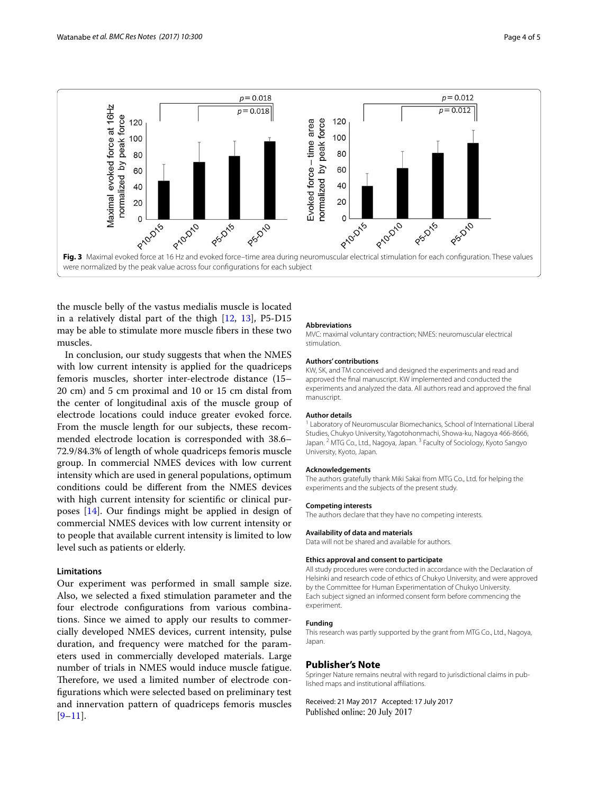

<span id="page-3-0"></span>the muscle belly of the vastus medialis muscle is located in a relatively distal part of the thigh [[12,](#page-4-9) [13\]](#page-4-10), P5-D15 may be able to stimulate more muscle fbers in these two muscles.

In conclusion, our study suggests that when the NMES with low current intensity is applied for the quadriceps femoris muscles, shorter inter-electrode distance (15– 20 cm) and 5 cm proximal and 10 or 15 cm distal from the center of longitudinal axis of the muscle group of electrode locations could induce greater evoked force. From the muscle length for our subjects, these recommended electrode location is corresponded with 38.6– 72.9/84.3% of length of whole quadriceps femoris muscle group. In commercial NMES devices with low current intensity which are used in general populations, optimum conditions could be diferent from the NMES devices with high current intensity for scientific or clinical purposes [[14\]](#page-4-11). Our fndings might be applied in design of commercial NMES devices with low current intensity or to people that available current intensity is limited to low level such as patients or elderly.

## **Limitations**

Our experiment was performed in small sample size. Also, we selected a fxed stimulation parameter and the four electrode confgurations from various combinations. Since we aimed to apply our results to commercially developed NMES devices, current intensity, pulse duration, and frequency were matched for the parameters used in commercially developed materials. Large number of trials in NMES would induce muscle fatigue. Therefore, we used a limited number of electrode confgurations which were selected based on preliminary test and innervation pattern of quadriceps femoris muscles  $[9-11]$  $[9-11]$ .

#### **Abbreviations**

MVC: maximal voluntary contraction; NMES: neuromuscular electrical stimulation.

#### **Authors' contributions**

KW, SK, and TM conceived and designed the experiments and read and approved the fnal manuscript. KW implemented and conducted the experiments and analyzed the data. All authors read and approved the fnal manuscript.

## **Author details**

<sup>1</sup> Laboratory of Neuromuscular Biomechanics, School of International Liberal Studies, Chukyo University, Yagotohonmachi, Showa-ku, Nagoya 466-8666, Japan. <sup>2</sup> MTG Co., Ltd., Nagoya, Japan. <sup>3</sup> Faculty of Sociology, Kyoto Sangyo University, Kyoto, Japan.

#### **Acknowledgements**

The authors gratefully thank Miki Sakai from MTG Co., Ltd. for helping the experiments and the subjects of the present study.

#### **Competing interests**

The authors declare that they have no competing interests.

#### **Availability of data and materials**

Data will not be shared and available for authors.

#### **Ethics approval and consent to participate**

All study procedures were conducted in accordance with the Declaration of Helsinki and research code of ethics of Chukyo University, and were approved by the Committee for Human Experimentation of Chukyo University. Each subject signed an informed consent form before commencing the experiment.

#### **Funding**

This research was partly supported by the grant from MTG Co., Ltd., Nagoya, Japan.

#### **Publisher's Note**

Springer Nature remains neutral with regard to jurisdictional claims in published maps and institutional afliations.

Received: 21 May 2017 Accepted: 17 July 2017 Published online: 20 July 2017